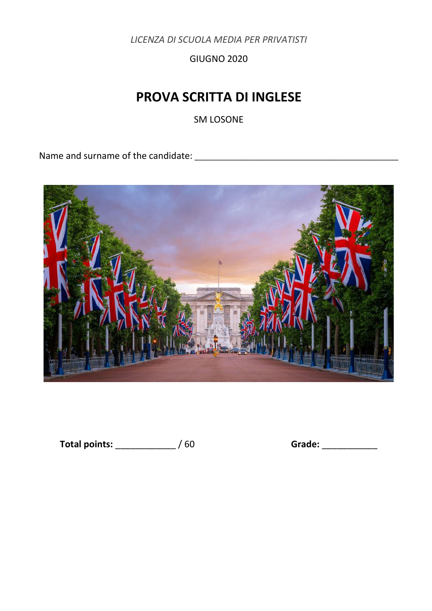*LICENZA DI SCUOLA MEDIA PER PRIVATISTI* 

GIUGNO 2020

# **PROVA SCRITTA DI INGLESE**

SM LOSONE

Name and surname of the candidate: \_\_\_\_\_\_\_\_\_\_\_\_\_\_\_\_\_\_\_\_\_\_\_\_\_\_\_\_\_\_\_\_\_\_\_\_\_\_\_\_\_\_\_\_\_\_\_



Total points: \_\_\_\_\_\_\_\_\_\_\_\_\_\_ / 60 **Grade:** \_\_\_\_\_\_\_\_\_\_\_\_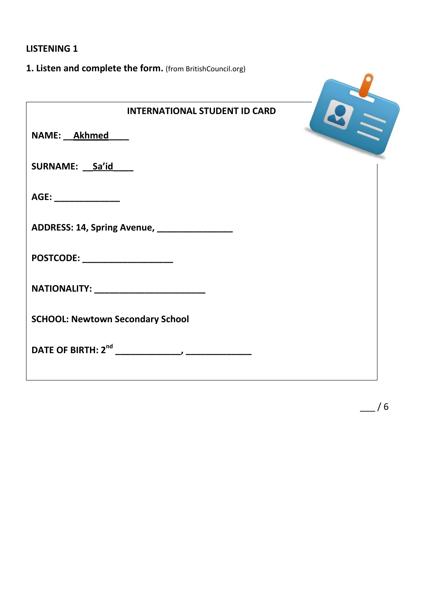## **LISTENING 1**

| 1. Listen and complete the form. (from BritishCouncil.org) |  |
|------------------------------------------------------------|--|
| <b>INTERNATIONAL STUDENT ID CARD</b>                       |  |
| NAME: Akhmed                                               |  |
| SURNAME: Sa'id                                             |  |
| AGE: _____________                                         |  |
| ADDRESS: 14, Spring Avenue, ________________               |  |
| POSTCODE: __________________                               |  |
| NATIONALITY: _______________________                       |  |
| <b>SCHOOL: Newtown Secondary School</b>                    |  |
|                                                            |  |
|                                                            |  |

 $-$  /6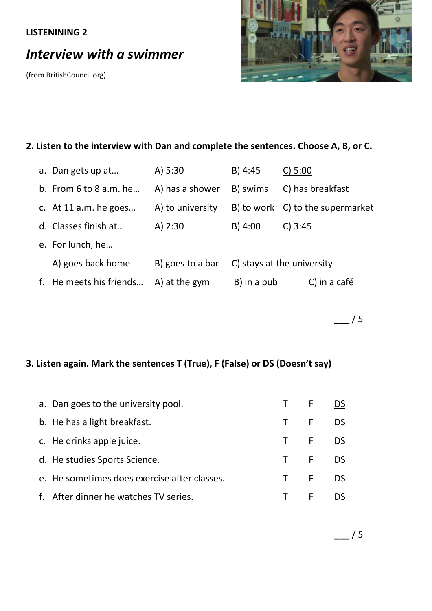## **LISTENINING 2**

# *Interview with a swimmer*

(from BritishCouncil.org)



## **2. Listen to the interview with Dan and complete the sentences. Choose A, B, or C.**

|    | a. Dan gets up at          | A) $5:30$        | $B)$ 4:45   | $C$ ) 5:00                       |
|----|----------------------------|------------------|-------------|----------------------------------|
|    | b. From $6$ to $8$ a.m. he | A) has a shower  | B) swims    | C) has breakfast                 |
|    | c. At 11 a.m. he goes      | A) to university |             | B) to work C) to the supermarket |
|    | d. Classes finish at       | $A)$ 2:30        | $B)$ 4:00   | $C$ ) 3:45                       |
|    | e. For lunch, he           |                  |             |                                  |
|    | A) goes back home          | B) goes to a bar |             | C) stays at the university       |
| f. | He meets his friends       | A) at the gym    | B) in a pub | C) in a café                     |

 $-$ /5

# **3. Listen again. Mark the sentences T (True), F (False) or DS (Doesn't say)**

| a. Dan goes to the university pool.          | T F DS |  |
|----------------------------------------------|--------|--|
| b. He has a light breakfast.                 | T F DS |  |
| c. He drinks apple juice.                    | T F DS |  |
| d. He studies Sports Science.                | T F DS |  |
| e. He sometimes does exercise after classes. | T F DS |  |
| f. After dinner he watches TV series.        | T F DS |  |

 $/5$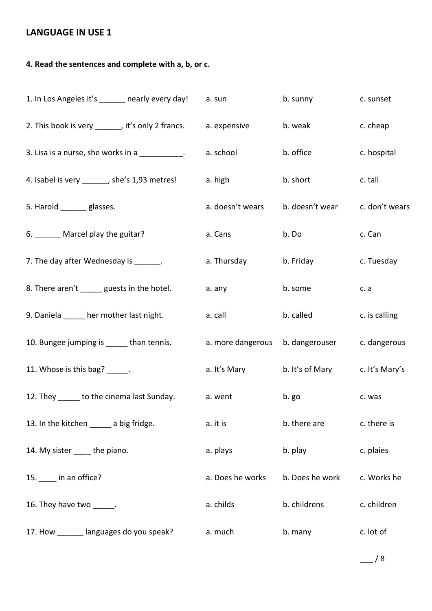## **LANGUAGE IN USE 1**

## **4. Read the sentences and complete with a, b, or c.**

| 1. In Los Angeles it's ______ nearly every day!           | a. sun            | b. sunny                       | c. sunset      |
|-----------------------------------------------------------|-------------------|--------------------------------|----------------|
| 2. This book is very _______, it's only 2 francs.         | a. expensive      | b. weak                        | c. cheap       |
| 3. Lisa is a nurse, she works in a $\frac{1}{\sqrt{2}}$ . | a. school         | b. office                      | c. hospital    |
| 4. Isabel is very ______, she's 1,93 metres!              | a. high           | b. short                       | c. tall        |
| 5. Harold ______ glasses.                                 | a. doesn't wears  | b. doesn't wear                | c. don't wears |
| 6. ______ Marcel play the guitar?                         | a. Cans           | b. Do                          | c. Can         |
| 7. The day after Wednesday is _______.                    | a. Thursday       | b. Friday                      | c. Tuesday     |
| 8. There aren't ______ guests in the hotel.               | a. any            | b. some                        | c. a           |
| 9. Daniela _____ her mother last night.                   | a. call           | b. called                      | c. is calling  |
| 10. Bungee jumping is ______ than tennis.                 | a. more dangerous | b. dangerouser                 | c. dangerous   |
| 11. Whose is this bag? ______.                            | a. It's Mary      | b. It's of Mary c. It's Mary's |                |
| 12. They ______ to the cinema last Sunday.                | a. went           | b. go                          | c. was         |
| 13. In the kitchen ______ a big fridge.                   | a. it is          | b. there are                   | c. there is    |
| 14. My sister _____ the piano.                            | a. plays          | b. play                        | c. plaies      |
| 15. ___ in an office?                                     | a. Does he works  | b. Does he work                | c. Works he    |
| 16. They have two ______.                                 | a. childs         | b. childrens                   | c. children    |
| 17. How _______ languages do you speak?                   | a. much           | b. many                        | c. lot of      |

 $-$  / 8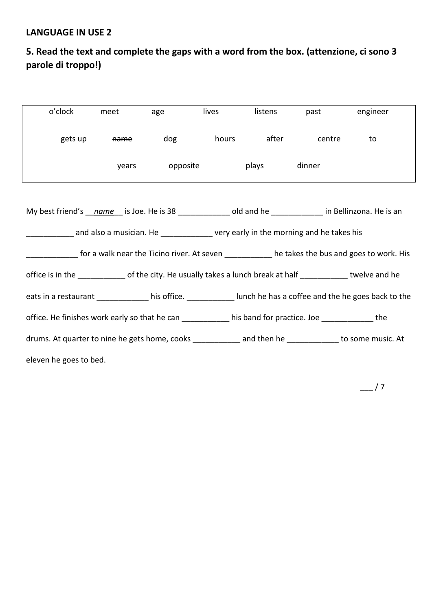## **LANGUAGE IN USE 2**

# **5. Read the text and complete the gaps with a word from the box. (attenzione, ci sono 3 parole di troppo!)**

| o'clock                                                                                                        | meet            | age            | lives                  | listens | past   | engineer |
|----------------------------------------------------------------------------------------------------------------|-----------------|----------------|------------------------|---------|--------|----------|
| gets up                                                                                                        | <del>name</del> |                | dog hours after centre |         |        | to       |
|                                                                                                                |                 | years opposite |                        | plays   | dinner |          |
| My best friend's name is Joe. He is 38 16 metal old and he in Bellinzona. He is an                             |                 |                |                        |         |        |          |
| and also a musician. He _________________ very early in the morning and he takes his                           |                 |                |                        |         |        |          |
| for a walk near the Ticino river. At seven ___________ he takes the bus and goes to work. His                  |                 |                |                        |         |        |          |
| office is in the ______________ of the city. He usually takes a lunch break at half ____________ twelve and he |                 |                |                        |         |        |          |
| eats in a restaurant ______________ his office. ____________ lunch he has a coffee and the he goes back to the |                 |                |                        |         |        |          |
| office. He finishes work early so that he can ___________ his band for practice. Joe _____________ the         |                 |                |                        |         |        |          |
| drums. At quarter to nine he gets home, cooks _____________ and then he ___________ to some music. At          |                 |                |                        |         |        |          |
| eleven he goes to bed.                                                                                         |                 |                |                        |         |        |          |

 $-$ /7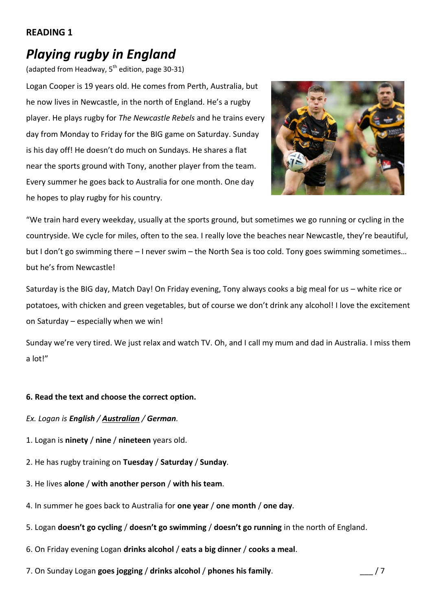### **READING 1**

# *Playing rugby in England*

(adapted from Headway,  $5<sup>th</sup>$  edition, page 30-31)

Logan Cooper is 19 years old. He comes from Perth, Australia, but he now lives in Newcastle, in the north of England. He's a rugby player. He plays rugby for *The Newcastle Rebels* and he trains every day from Monday to Friday for the BIG game on Saturday. Sunday is his day off! He doesn't do much on Sundays. He shares a flat near the sports ground with Tony, another player from the team. Every summer he goes back to Australia for one month. One day he hopes to play rugby for his country.



"We train hard every weekday, usually at the sports ground, but sometimes we go running or cycling in the countryside. We cycle for miles, often to the sea. I really love the beaches near Newcastle, they're beautiful, but I don't go swimming there – I never swim – the North Sea is too cold. Tony goes swimming sometimes… but he's from Newcastle!

Saturday is the BIG day, Match Day! On Friday evening, Tony always cooks a big meal for us – white rice or potatoes, with chicken and green vegetables, but of course we don't drink any alcohol! I love the excitement on Saturday – especially when we win!

Sunday we're very tired. We just relax and watch TV. Oh, and I call my mum and dad in Australia. I miss them a lot!"

### **6. Read the text and choose the correct option.**

*Ex. Logan is English / Australian / German.*

- 1. Logan is **ninety** / **nine** / **nineteen** years old.
- 2. He has rugby training on **Tuesday** / **Saturday** / **Sunday**.
- 3. He lives **alone** / **with another person** / **with his team**.
- 4. In summer he goes back to Australia for **one year** / **one month** / **one day**.
- 5. Logan **doesn't go cycling** / **doesn't go swimming** / **doesn't go running** in the north of England.
- 6. On Friday evening Logan **drinks alcohol** / **eats a big dinner** / **cooks a meal**.
- 7. On Sunday Logan **goes jogging** / **drinks alcohol** / **phones his family**. \_\_\_ / 7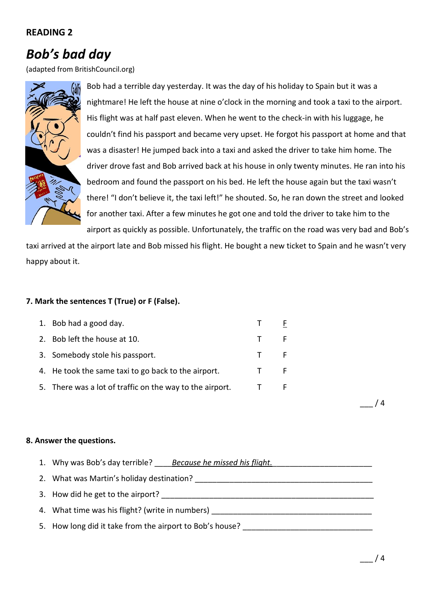### **READING 2**

# *Bob's bad day*

(adapted from BritishCouncil.org)



Bob had a terrible day yesterday. It was the day of his holiday to Spain but it was a nightmare! He left the house at nine o'clock in the morning and took a taxi to the airport. His flight was at half past eleven. When he went to the check-in with his luggage, he couldn't find his passport and became very upset. He forgot his passport at home and that was a disaster! He jumped back into a taxi and asked the driver to take him home. The driver drove fast and Bob arrived back at his house in only twenty minutes. He ran into his bedroom and found the passport on his bed. He left the house again but the taxi wasn't there! "I don't believe it, the taxi left!" he shouted. So, he ran down the street and looked for another taxi. After a few minutes he got one and told the driver to take him to the airport as quickly as possible. Unfortunately, the traffic on the road was very bad and Bob's

taxi arrived at the airport late and Bob missed his flight. He bought a new ticket to Spain and he wasn't very happy about it.

#### **7. Mark the sentences T (True) or F (False).**

| 1. Bob had a good day.                                   |   |
|----------------------------------------------------------|---|
| 2. Bob left the house at 10.                             | F |
| 3. Somebody stole his passport.                          |   |
| 4. He took the same taxi to go back to the airport.      |   |
| 5. There was a lot of traffic on the way to the airport. | F |
|                                                          |   |

**8. Answer the questions.**

1. Why was Bob's day terrible? \_\_\_\_*Because he missed his flight.*\_\_\_\_\_\_\_\_\_\_\_\_\_\_\_\_\_\_\_\_\_\_\_ 2. What was Martin's holiday destination? 3. How did he get to the airport? 4. What time was his flight? (write in numbers) 5. How long did it take from the airport to Bob's house?

 $/ 4$